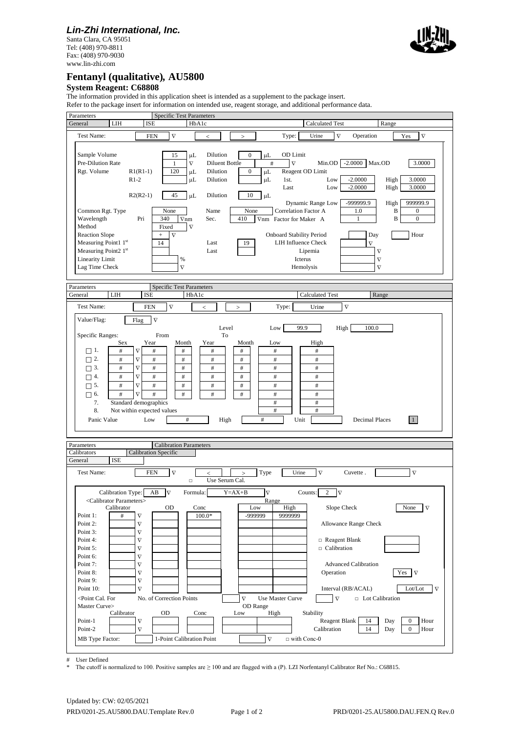### *Lin-Zhi International, Inc.*

Santa Clara, CA 95051 Tel: (408) 970-8811 Fax: (408) 970-9030 www.lin-zhi.com



## **Fentanyl (qualitative)***,* **AU5800**

#### **System Reagent: C68808**

The information provided in this application sheet is intended as a supplement to the package insert.



# User Defined

The cutoff is normalized to 100. Positive samples are ≥ 100 and are flagged with a (P). LZI Norfentanyl Calibrator Ref No.: C68815.